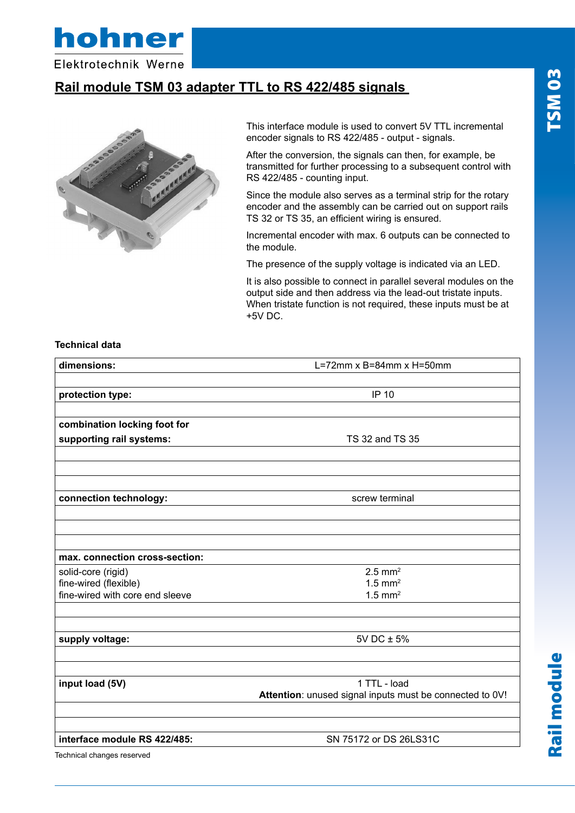

Elektrotechnik Werne

#### **Rail module TSM 03 adapter TTL to RS 422/485 signals**



This interface module is used to convert 5V TTL incremental encoder signals to RS 422/485 - output - signals.

After the conversion, the signals can then, for example, be transmitted for further processing to a subsequent control with RS 422/485 - counting input.

Since the module also serves as a terminal strip for the rotary encoder and the assembly can be carried out on support rails TS 32 or TS 35, an efficient wiring is ensured.

Incremental encoder with max. 6 outputs can be connected to the module.

The presence of the supply voltage is indicated via an LED.

It is also possible to connect in parallel several modules on the output side and then address via the lead-out tristate inputs. When tristate function is not required, these inputs must be at +5V DC.

#### **Technical data**

| dimensions:                                              | L=72mm $x$ B=84mm $x$ H=50mm                             |
|----------------------------------------------------------|----------------------------------------------------------|
|                                                          | <b>IP 10</b>                                             |
| protection type:                                         |                                                          |
| combination locking foot for                             |                                                          |
| supporting rail systems:                                 | TS 32 and TS 35                                          |
|                                                          |                                                          |
|                                                          |                                                          |
| connection technology:                                   | screw terminal                                           |
|                                                          |                                                          |
| max. connection cross-section:                           |                                                          |
| solid-core (rigid)                                       | $2.5$ mm <sup>2</sup>                                    |
| fine-wired (flexible)<br>fine-wired with core end sleeve | $1.5$ mm <sup>2</sup><br>$1.5$ mm <sup>2</sup>           |
|                                                          |                                                          |
| supply voltage:                                          | 5V DC ± 5%                                               |
| input load (5V)                                          | 1 TTL - load                                             |
|                                                          | Attention: unused signal inputs must be connected to 0V! |
| interface module RS 422/485:                             | SN 75172 or DS 26LS31C                                   |
| Technical changes reserved                               |                                                          |